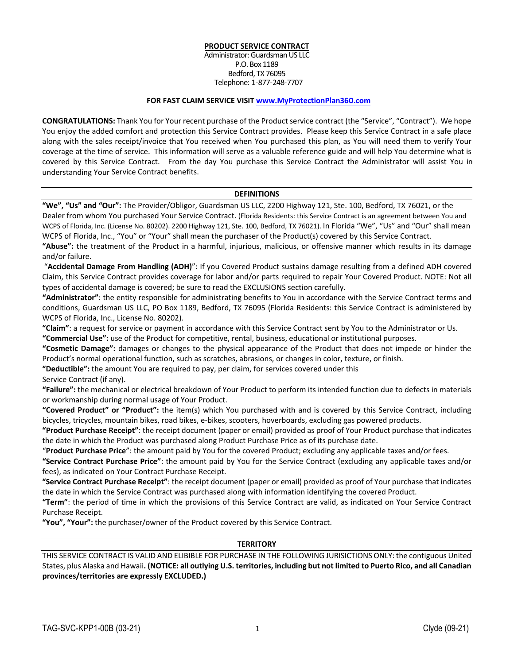## **PRODUCT SERVICE CONTRACT**

Administrator: Guardsman US LLC P.O. Box 1189 Bedford, TX 76095 Telephone: 1‐877‐248‐7707

#### **FOR FAST CLAIM SERVICE VISIT www.MyProtectionPlan360.com**

**CONGRATULATIONS:** Thank You for Your recent purchase of the Product service contract (the "Service", "Contract"). We hope You enjoy the added comfort and protection this Service Contract provides. Please keep this Service Contract in a safe place along with the sales receipt/invoice that You received when You purchased this plan, as You will need them to verify Your coverage at the time of service. This information will serve as a valuable reference guide and will help You determine what is covered by this Service Contract. From the day You purchase this Service Contract the Administrator will assist You in understanding Your Service Contract benefits.

#### **DEFINITIONS**

**"We", "Us" and "Our":** The Provider/Obligor, Guardsman US LLC, 2200 Highway 121, Ste. 100, Bedford, TX 76021, or the Dealer from whom You purchased Your Service Contract. (Florida Residents: this Service Contract is an agreement between You and WCPS of Florida, Inc. (License No. 80202). 2200 Highway 121, Ste. 100, Bedford, TX 76021). In Florida "We", "Us" and "Our" shall mean WCPS of Florida, Inc., "You" or "Your" shall mean the purchaser of the Product(s) covered by this Service Contract.

**"Abuse":** the treatment of the Product in a harmful, injurious, malicious, or offensive manner which results in its damage and/or failure.

"**Accidental Damage From Handling (ADH)**": If you Covered Product sustains damage resulting from a defined ADH covered Claim, this Service Contract provides coverage for labor and/or parts required to repair Your Covered Product. NOTE: Not all types of accidental damage is covered; be sure to read the EXCLUSIONS section carefully.

**"Administrator"**: the entity responsible for administrating benefits to You in accordance with the Service Contract terms and conditions, Guardsman US LLC, PO Box 1189, Bedford, TX 76095 (Florida Residents: this Service Contract is administered by WCPS of Florida, Inc., License No. 80202).

**"Claim"**: a request for service or payment in accordance with this Service Contract sent by You to the Administrator or Us. **"Commercial Use":** use of the Product for competitive, rental, business, educational or institutional purposes.

**"Cosmetic Damage":** damages or changes to the physical appearance of the Product that does not impede or hinder the Product's normal operational function, such as scratches, abrasions, or changes in color, texture, or finish.

**"Deductible":** the amount You are required to pay, per claim, for services covered under this

Service Contract (if any).

**"Failure":** the mechanical or electrical breakdown of Your Product to perform its intended function due to defects in materials or workmanship during normal usage of Your Product.

**"Covered Product" or "Product":** the item(s) which You purchased with and is covered by this Service Contract, including bicycles, tricycles, mountain bikes, road bikes, e‐bikes, scooters, hoverboards, excluding gas powered products.

**"Product Purchase Receipt"**: the receipt document (paper or email) provided as proof of Your Product purchase that indicates the date in which the Product was purchased along Product Purchase Price as of its purchase date.

"**Product Purchase Price**": the amount paid by You for the covered Product; excluding any applicable taxes and/or fees.

**"Service Contract Purchase Price"**: the amount paid by You for the Service Contract (excluding any applicable taxes and/or fees), as indicated on Your Contract Purchase Receipt.

**"Service Contract Purchase Receipt"**: the receipt document (paper or email) provided as proof of Your purchase that indicates the date in which the Service Contract was purchased along with information identifying the covered Product.

**"Term"**: the period of time in which the provisions of this Service Contract are valid, as indicated on Your Service Contract Purchase Receipt.

**"You", "Your":** the purchaser/owner of the Product covered by this Service Contract.

#### **TERRITORY**

THIS SERVICE CONTRACT IS VALID AND ELIBIBLE FOR PURCHASE IN THE FOLLOWING JURISICTIONS ONLY: the contiguous United States, plus Alaska and Hawaii. (NOTICE: all outlying U.S. territories, including but not limited to Puerto Rico, and all Canadian **provinces/territories are expressly EXCLUDED.)**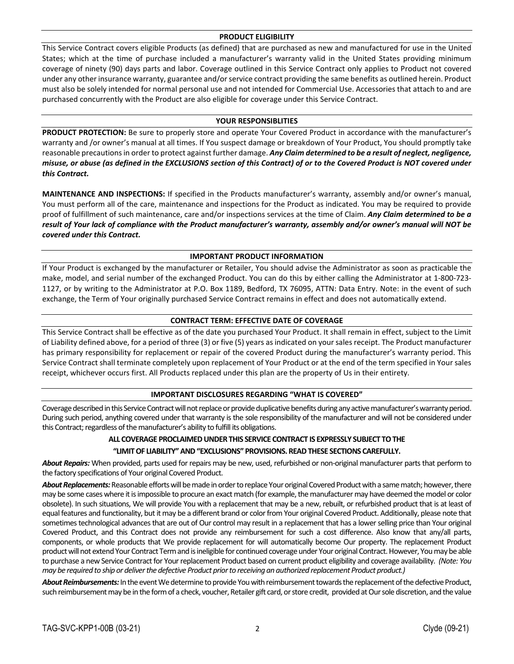#### **PRODUCT ELIGIBILITY**

This Service Contract covers eligible Products (as defined) that are purchased as new and manufactured for use in the United States; which at the time of purchase included a manufacturer's warranty valid in the United States providing minimum coverage of ninety (90) days parts and labor. Coverage outlined in this Service Contract only applies to Product not covered under any other insurance warranty, guarantee and/orservice contract providing the same benefits as outlined herein. Product must also be solely intended for normal personal use and not intended for Commercial Use. Accessories that attach to and are purchased concurrently with the Product are also eligible for coverage under this Service Contract.

#### **YOUR RESPONSIBLITIES**

**PRODUCT PROTECTION:** Be sure to properly store and operate Your Covered Product in accordance with the manufacturer's warranty and /or owner's manual at all times. If You suspect damage or breakdown of Your Product, You should promptly take reasonable precautionsin order to protect against further damage. *Any Claim determined to be a result of neglect, negligence,* misuse, or abuse (as defined in the EXCLUSIONS section of this Contract) of or to the Covered Product is NOT covered under *this Contract.*

**MAINTENANCE AND INSPECTIONS:** If specified in the Products manufacturer's warranty, assembly and/or owner's manual, You must perform all of the care, maintenance and inspections for the Product as indicated. You may be required to provide proof of fulfillment of such maintenance, care and/or inspections services at the time of Claim. *Any Claim determined to be a* result of Your lack of compliance with the Product manufacturer's warranty, assembly and/or owner's manual will NOT be *covered under this Contract.*

## **IMPORTANT PRODUCT INFORMATION**

If Your Product is exchanged by the manufacturer or Retailer, You should advise the Administrator as soon as practicable the make, model, and serial number of the exchanged Product. You can do this by either calling the Administrator at 1‐800‐723‐ 1127, or by writing to the Administrator at P.O. Box 1189, Bedford, TX 76095, ATTN: Data Entry. Note: in the event of such exchange, the Term of Your originally purchased Service Contract remains in effect and does not automatically extend.

## **CONTRACT TERM: EFFECTIVE DATE OF COVERAGE**

This Service Contract shall be effective as of the date you purchased Your Product. It shall remain in effect, subject to the Limit of Liability defined above, for a period of three (3) or five (5) years asindicated on your sales receipt. The Product manufacturer has primary responsibility for replacement or repair of the covered Product during the manufacturer's warranty period. This Service Contract shall terminate completely upon replacement of Your Product or at the end of the term specified in Your sales receipt, whichever occurs first. All Products replaced under this plan are the property of Us in their entirety.

## **IMPORTANT DISCLOSURES REGARDING "WHAT IS COVERED"**

Coverage described in this Service Contract will not replace or provide duplicative benefits during any active manufacturer's warranty period. During such period, anything covered under that warranty is the sole responsibility of the manufacturer and will not be considered under this Contract; regardless of the manufacturer's ability to fulfill its obligations.

# **ALL COVERAGE PROCLAIMEDUNDER THIS SERVICE CONTRACT IS EXPRESSLY SUBJECT TOTHE**

# **"LIMITOF LIABILITY"AND"EXCLUSIONS" PROVISIONS. READTHESE SECTIONS CAREFULLY.**

About Repairs: When provided, parts used for repairs may be new, used, refurbished or non-original manufacturer parts that perform to the factory specifications of Your original Covered Product.

About Replacements: Reasonable efforts will be made in order to replace Your original Covered Product with a same match; however, there may be some cases where it is impossible to procure an exact match (for example, the manufacturer may have deemed the model or color obsolete). In such situations, We will provide You with a replacement that may be a new, rebuilt, or refurbished product that is at least of equal features and functionality, but it may be a different brand or color from Your original Covered Product. Additionally, please note that sometimes technological advances that are out of Our control may result in a replacement that has a lower selling price than Your original Covered Product, and this Contract does not provide any reimbursement for such a cost difference. Also know that any/all parts, components, or whole products that We provide replacement for will automatically become Our property. The replacement Product product will not extend Your Contract Term and is ineligible for continued coverage under Your original Contract. However, You may be able to purchase a new Service Contractfor Yourreplacement Product based on current product eligibility and coverage availability. *(Note: You* may be required to ship or deliver the defective Product prior to receiving an authorized replacement Product product.)

About Reimbursements: In the event We determine to provide You with reimbursement towards the replacement of the defective Product, such reimbursement may be in the form of a check, voucher, Retailer gift card, or store credit, provided at Our sole discretion, and the value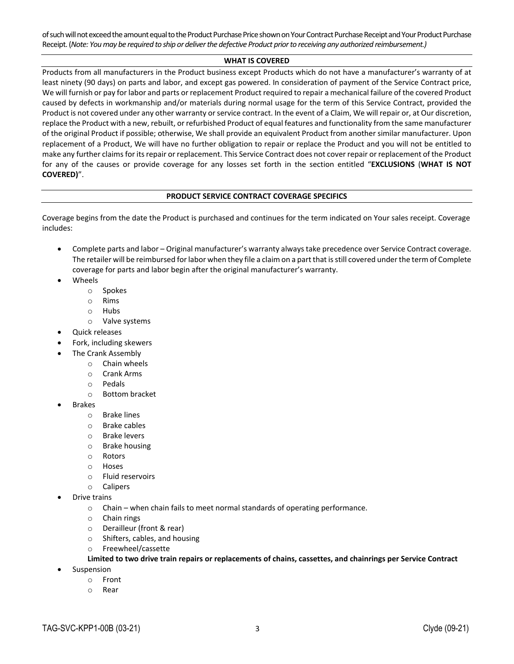of such will not exceed the amount equal to the Product Purchase Price shown on Your Contract Purchase Receipt and Your Product Purchase Receipt. (Note: You may be required to ship or deliver the defective Product prior to receiving any authorized reimbursement.)

#### **WHAT IS COVERED**

Products from all manufacturers in the Product business except Products which do not have a manufacturer's warranty of at least ninety (90 days) on parts and labor, and except gas powered. In consideration of payment of the Service Contract price, We will furnish or pay for labor and parts or replacement Product required to repair a mechanical failure of the covered Product caused by defects in workmanship and/or materials during normal usage for the term of this Service Contract, provided the Product is not covered under any other warranty orservice contract. In the event of a Claim, We will repair or, at Our discretion, replace the Product with a new, rebuilt, or refurbished Product of equal features and functionality from the same manufacturer of the original Product if possible; otherwise, We shall provide an equivalent Product from another similar manufacturer. Upon replacement of a Product, We will have no further obligation to repair or replace the Product and you will not be entitled to make any further claims for its repair or replacement. This Service Contract does not cover repair or replacement of the Product for any of the causes or provide coverage for any losses set forth in the section entitled "**EXCLUSIONS** (**WHAT IS NOT COVERED)**".

## **PRODUCT SERVICE CONTRACT COVERAGE SPECIFICS**

Coverage begins from the date the Product is purchased and continues for the term indicated on Your sales receipt. Coverage includes:

- Complete parts and labor Original manufacturer's warranty alwaystake precedence over Service Contract coverage. The retailer will be reimbursed forlabor when they file a claim on a part that isstill covered underthe term of Complete coverage for parts and labor begin after the original manufacturer's warranty.
- Wheels
	- o Spokes
	- o Rims
	- o Hubs
	- o Valve systems
- Quick releases
- Fork, including skewers
	- The Crank Assembly
		- o Chain wheels
		- o Crank Arms
		- o Pedals
		- o Bottom bracket
- Brakes
	- o Brake lines
	- o Brake cables
	- o Brake levers
	- o Brake housing
	- o Rotors
	- o Hoses
	- o Fluid reservoirs
	- o Calipers
- Drive trains
	- o Chain when chain fails to meet normal standards of operating performance.
	- o Chain rings
	- o Derailleur (front & rear)
	- o Shifters, cables, and housing
	- o Freewheel/cassette

## **Limited to two drive train repairs or replacements of chains, cassettes, and chainrings per Service Contract**

- Suspension
	- o Front
	- o Rear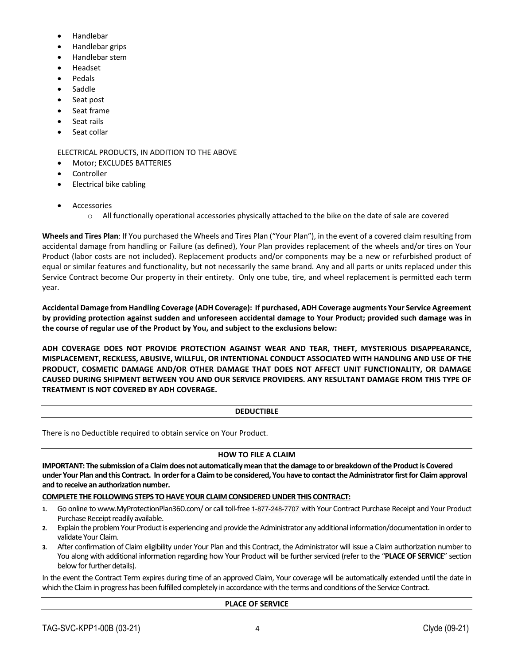- Handlebar
- Handlebar grips
- Handlebar stem
- Headset
- Pedals
- Saddle
- Seat post
- Seat frame
- Seat rails
- Seat collar

ELECTRICAL PRODUCTS, IN ADDITION TO THE ABOVE

- Motor; EXCLUDES BATTERIES
- Controller
- Electrical bike cabling
- Accessories
	- o All functionally operational accessories physically attached to the bike on the date of sale are covered

**Wheels and Tires Plan**: If You purchased the Wheels and Tires Plan ("Your Plan"), in the event of a covered claim resulting from accidental damage from handling or Failure (as defined), Your Plan provides replacement of the wheels and/or tires on Your Product (labor costs are not included). Replacement products and/or components may be a new or refurbished product of equal or similar features and functionality, but not necessarily the same brand. Any and all parts or units replaced under this Service Contract become Our property in their entirety. Only one tube, tire, and wheel replacement is permitted each term year.

Accidental Damage from Handling Coverage (ADH Coverage): If purchased, ADH Coverage augments Your Service Agreement by providing protection against sudden and unforeseen accidental damage to Your Product; provided such damage was in **the course of regular use of the Product by You, and subject to the exclusions below:**

**ADH COVERAGE DOES NOT PROVIDE PROTECTION AGAINST WEAR AND TEAR, THEFT, MYSTERIOUS DISAPPEARANCE, MISPLACEMENT, RECKLESS, ABUSIVE, WILLFUL, OR INTENTIONAL CONDUCT ASSOCIATED WITH HANDLING AND USE OF THE PRODUCT, COSMETIC DAMAGE AND/OR OTHER DAMAGE THAT DOES NOT AFFECT UNIT FUNCTIONALITY, OR DAMAGE CAUSED DURING SHIPMENT BETWEEN YOU AND OUR SERVICE PROVIDERS. ANY RESULTANT DAMAGE FROM THIS TYPE OF TREATMENT IS NOT COVERED BY ADH COVERAGE.**

# **DEDUCTIBLE**

There is no Deductible required to obtain service on Your Product.

# **HOW TO FILE A CLAIM**

IMPORTANT: The submission of a Claim does not automatically mean that the damage to or breakdown of the Product is Covered under Your Plan and this Contract. In order for a Claim to be considered, You have to contact the Administrator first for Claim approval **and to receive an authorization number.** 

# **COMPLETE THE FOLLOWINGSTEPS TOHAVE YOUR CLAIMCONSIDEREDUNDER THIS CONTRACT:**

- 1. Go online to www.MyProtectionPlan360.com/ or call toll-free 1-877-248-7707 with Your Contract Purchase Receipt and Your Product Purchase Receipt readily available.
- 2. Explain the problem Your Product is experiencing and provide the Administrator any additional information/documentation in order to validate Your Claim.
- **3.** After confirmation of Claim eligibility under Your Plan and this Contract, the Administrator will issue a Claim authorization number to You along with additional information regarding how Your Product will be further serviced (refer to the "PLACE OF SERVICE" section below for further details).

In the event the Contract Term expires during time of an approved Claim, Your coverage will be automatically extended until the date in which the Claim in progress has been fulfilled completely in accordance with the terms and conditions of the Service Contract.

## **PLACE OF SERVICE**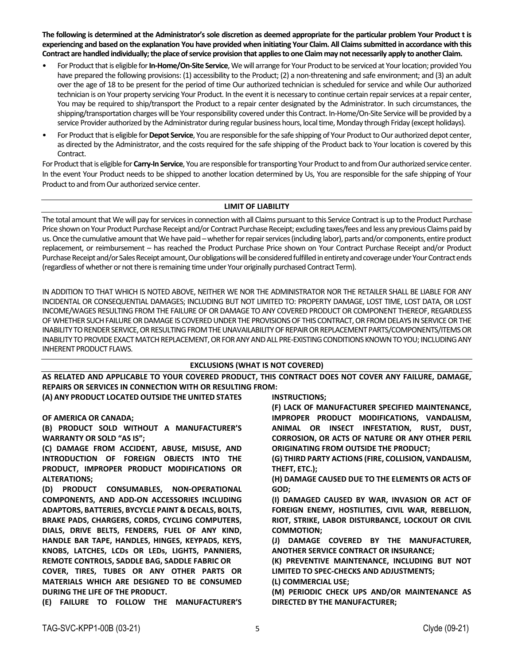The following is determined at the Administrator's sole discretion as deemed appropriate for the particular problem Your Product t is experiencing and based on the explanation You have provided when initiating Your Claim. All Claims submitted in accordance with this Contract are handled individually; the place of service provision that applies to one Claim may not necessarily apply to another Claim.

- For Product that is eligible for In-Home/On-Site Service, We will arrange for Your Product to be serviced at Your location; provided You have prepared the following provisions: (1) accessibility to the Product; (2) a non-threatening and safe environment; and (3) an adult over the age of 18 to be present for the period of time Our authorized technician is scheduled for service and while Our authorized technician is on Your property servicing Your Product. In the event it is necessary to continue certain repair services at a repair center, You may be required to ship/transport the Product to a repair center designated by the Administrator. In such circumstances, the shipping/transportation charges will be Your responsibility covered under this Contract. In-Home/On-Site Service will be provided by a service Provider authorized by the Administrator during regular business hours, local time, Monday through Friday (except holidays).
- For Product that is eligible for Depot Service, You are responsible for the safe shipping of Your Product to Our authorized depot center, as directed by the Administrator, and the costs required for the safe shipping of the Product back to Your location is covered by this Contract.

For Product that is eligible for *Carry-In Service*, You are responsible for transporting Your Product to and from Our authorized service center. In the event Your Product needs to be shipped to another location determined by Us, You are responsible for the safe shipping of Your Product to and from Our authorized service center.

## **LIMIT OF LIABILITY**

The total amount that We will pay for services in connection with all Claims pursuant to this Service Contract is up to the Product Purchase Price shown on Your Product Purchase Receipt and/or Contract Purchase Receipt; excluding taxes/fees and less any previous Claims paid by us. Once the cumulative amount that We have paid – whether for repair services (including labor), parts and/or components, entire product replacement, or reimbursement – has reached the Product Purchase Price shown on Your Contract Purchase Receipt and/or Product Purchase Receipt and/or Sales Receipt amount, Our obligations will be considered fulfilled in entirety and coverage under Your Contract ends (regardless of whether or not there is remaining time under Your originally purchased Contract Term).

IN ADDITION TO THAT WHICH IS NOTED ABOVE, NEITHER WE NOR THE ADMINISTRATOR NOR THE RETAILER SHALL BE LIABLE FOR ANY INCIDENTAL OR CONSEQUENTIAL DAMAGES; INCLUDING BUT NOT LIMITED TO: PROPERTY DAMAGE, LOST TIME, LOST DATA, OR LOST INCOME/WAGES RESULTING FROM THE FAILURE OF OR DAMAGE TO ANY COVERED PRODUCT OR COMPONENT THEREOF, REGARDLESS OF WHETHER SUCH FAILURE OR DAMAGE IS COVERED UNDER THE PROVISIONS OF THIS CONTRACT, OR FROM DELAYS IN SERVICE OR THE INABILITY TO RENDER SERVICE, OR RESULTING FROM THE UNAVAILABILITY OF REPAIR OR REPLACEMENT PARTS/COMPONENTS/ITEMS OR INABILITY TO PROVIDE EXACT MATCH REPLACEMENT, OR FOR ANY AND ALL PRE-EXISTING CONDITIONS KNOWN TO YOU; INCLUDING ANY INHERENT PRODUCT FLAWS.

## **EXCLUSIONS (WHAT IS NOT COVERED)**

**AS RELATED AND APPLICABLE TO YOUR COVERED PRODUCT, THIS CONTRACT DOES NOT COVER ANY FAILURE, DAMAGE, REPAIRS OR SERVICES IN CONNECTION WITH OR RESULTING FROM:**

**(A) ANY PRODUCT LOCATED OUTSIDE THE UNITED STATES** 

**OF AMERICA OR CANADA;** 

**(B) PRODUCT SOLD WITHOUT A MANUFACTURER'S WARRANTY OR SOLD "AS IS";** 

**(C) DAMAGE FROM ACCIDENT, ABUSE, MISUSE, AND INTRODUCTION OF FOREIGN OBJECTS INTO THE PRODUCT, IMPROPER PRODUCT MODIFICATIONS OR ALTERATIONS;**

**(D) PRODUCT CONSUMABLES, NON‐OPERATIONAL COMPONENTS, AND ADD‐ON ACCESSORIES INCLUDING ADAPTORS, BATTERIES, BYCYCLE PAINT & DECALS, BOLTS, BRAKE PADS, CHARGERS, CORDS, CYCLING COMPUTERS, DIALS, DRIVE BELTS, FENDERS, FUEL OF ANY KIND, HANDLE BAR TAPE, HANDLES, HINGES, KEYPADS, KEYS, KNOBS, LATCHES, LCDs OR LEDs, LIGHTS, PANNIERS, REMOTE CONTROLS, SADDLE BAG, SADDLE FABRIC OR COVER, TIRES, TUBES OR ANY OTHER PARTS OR MATERIALS WHICH ARE DESIGNED TO BE CONSUMED DURING THE LIFE OF THE PRODUCT.** 

**(E) FAILURE TO FOLLOW THE MANUFACTURER'S**

**INSTRUCTIONS;** 

**(F) LACK OF MANUFACTURER SPECIFIED MAINTENANCE, IMPROPER PRODUCT MODIFICATIONS, VANDALISM, ANIMAL OR INSECT INFESTATION, RUST, DUST, CORROSION, OR ACTS OF NATURE OR ANY OTHER PERIL ORIGINATING FROM OUTSIDE THE PRODUCT;** 

**(G) THIRD PARTY ACTIONS (FIRE, COLLISION, VANDALISM, THEFT, ETC.);**

**(H) DAMAGE CAUSED DUE TO THE ELEMENTS OR ACTS OF GOD;** 

**(I) DAMAGED CAUSED BY WAR, INVASION OR ACT OF FOREIGN ENEMY, HOSTILITIES, CIVIL WAR, REBELLION, RIOT, STRIKE, LABOR DISTURBANCE, LOCKOUT OR CIVIL COMMOTION;** 

**(J) DAMAGE COVERED BY THE MANUFACTURER, ANOTHER SERVICE CONTRACT OR INSURANCE;** 

**(K) PREVENTIVE MAINTENANCE, INCLUDING BUT NOT LIMITED TO SPEC‐CHECKS AND ADJUSTMENTS;** 

**(L) COMMERCIAL USE;** 

**(M) PERIODIC CHECK UPS AND/OR MAINTENANCE AS DIRECTED BY THE MANUFACTURER;**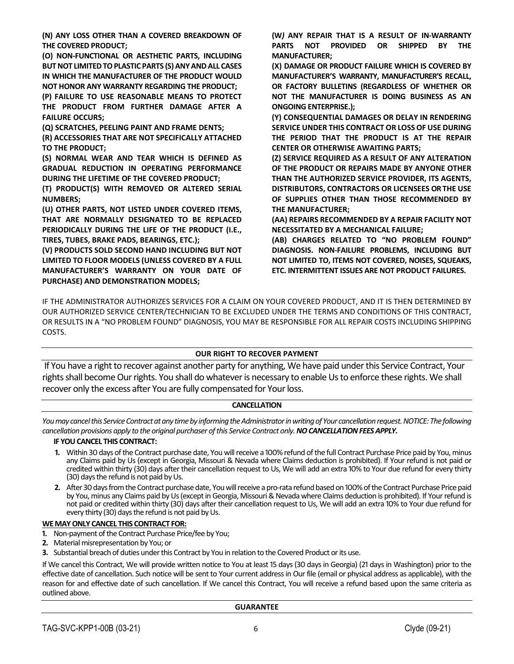**(N) ANY LOSS OTHER THAN A COVERED BREAKDOWN OF THE COVERED PRODUCT;** 

**(O) NON‐FUNCTIONAL OR AESTHETIC PARTS, INCLUDING BUTNOT LIMITEDTOPLASTIC PARTS (S)ANYANDALL CASES IN WHICH THE MANUFACTURER OF THE PRODUCT WOULD NOT HONOR ANY WARRANTY REGARDING THE PRODUCT;** 

**(P) FAILURE TO USE REASONABLE MEANS TO PROTECT THE PRODUCT FROM FURTHER DAMAGE AFTER A FAILURE OCCURS;** 

**(Q) SCRATCHES, PEELING PAINT AND FRAME DENTS;** 

**(R) ACCESSORIES THAT ARE NOT SPECIFICALLY ATTACHED TO THE PRODUCT;** 

**(S) NORMAL WEAR AND TEAR WHICH IS DEFINED AS GRADUAL REDUCTION IN OPERATING PERFORMANCE DURING THE LIFETIME OF THE COVERED PRODUCT;** 

**(T) PRODUCT(S) WITH REMOVED OR ALTERED SERIAL NUMBERS;** 

**(U) OTHER PARTS, NOT LISTED UNDER COVERED ITEMS, THAT ARE NORMALLY DESIGNATED TO BE REPLACED PERIODICALLY DURING THE LIFE OF THE PRODUCT (I.E., TIRES, TUBES, BRAKE PADS, BEARINGS, ETC.);** 

**(V) PRODUCTS SOLD SECOND HAND INCLUDING BUT NOT LIMITED TO FLOOR MODELS (UNLESS COVERED BY A FULL MANUFACTURER'S WARRANTY ON YOUR DATE OF PURCHASE) AND DEMONSTRATION MODELS;**

**(W***)* **ANY REPAIR THAT IS A RESULT OF IN‐WARRANTY PARTS NOT PROVIDED OR SHIPPED BY THE MANUFACTURER;**

**(X) DAMAGE OR PRODUCT FAILURE WHICH IS COVERED BY MANUFACTURER'S WARRANTY, MANUFACTURER'S RECALL, OR FACTORY BULLETINS (REGARDLESS OF WHETHER OR NOT THE MANUFACTURER IS DOING BUSINESS AS AN ONGOING ENTERPRISE.);** 

**(Y) CONSEQUENTIAL DAMAGES OR DELAY IN RENDERING SERVICE UNDER THIS CONTRACT OR LOSS OF USE DURING THE PERIOD THAT THE PRODUCT IS AT THE REPAIR CENTER OR OTHERWISE AWAITING PARTS;** 

**(Z) SERVICE REQUIRED AS A RESULT OF ANY ALTERATION OF THE PRODUCT OR REPAIRS MADE BY ANYONE OTHER THAN THE AUTHORIZED SERVICE PROVIDER, ITS AGENTS, DISTRIBUTORS, CONTRACTORS OR LICENSEES ORTHE USE OF SUPPLIES OTHER THAN THOSE RECOMMENDED BY THE MANUFACTURER;**

**(AA) REPAIRS RECOMMENDED BY A REPAIR FACILITY NOT NECESSITATED BY A MECHANICAL FAILURE;** 

**(AB) CHARGES RELATED TO "NO PROBLEM FOUND" DIAGNOSIS. NON‐FAILURE PROBLEMS, INCLUDING BUT NOT LIMITED TO, ITEMS NOT COVERED, NOISES, SQUEAKS, ETC. INTERMITTENT ISSUES ARE NOT PRODUCT FAILURES.** 

IF THE ADMINISTRATOR AUTHORIZES SERVICES FOR A CLAIM ON YOUR COVERED PRODUCT, AND IT IS THEN DETERMINED BY OUR AUTHORIZED SERVICE CENTER/TECHNICIAN TO BE EXCLUDED UNDER THE TERMS AND CONDITIONS OF THIS CONTRACT, OR RESULTS IN A "NO PROBLEM FOUND" DIAGNOSIS, YOU MAY BE RESPONSIBLE FOR ALL REPAIR COSTS INCLUDING SHIPPING COSTS.

# **OUR RIGHT TO RECOVER PAYMENT**

If You have a right to recover against another party for anything, We have paid under this Service Contract, Your rights shall become Our rights. You shall do whatever is necessary to enable Us to enforce these rights. We shall recover only the excess after You are fully compensated for Your loss.

## **CANCELLATION**

*You may cancel this Service Contract at any time by informing the Administrator in writing of Your cancellation request. NOTICE: The following cancellation provisions apply to the original purchaser ofthis Service Contract only.NOCANCELLATIONFEESAPPLY.*

## **IF YOUCANCEL THIS CONTRACT:**

- 1. Within 30 days of the Contract purchase date, You will receive a 100% refund of the full Contract Purchase Price paid by You, minus any Claims paid by Us (except in Georgia, Missouri & Nevada where Claims deduction is prohibited). If Your refund is not paid or credited within thirty (30) days after their cancellation request to Us, We will add an extra 10% to Your due refund for every thirty (30) days the refund is not paid by Us.
- **2.** After 30 days from the Contract purchase date, You will receive a pro-rata refund based on 100% of the Contract Purchase Price paid by You, minus any Claims paid by Us (except in Georgia, Missouri & Nevada where Claims deduction is prohibited). If Your refund is not paid or credited within thirty (30) days after their cancellation request to Us, We will add an extra 10% to Your due refund for every thirty (30) days the refund is not paid by Us.

## **WEMAYONLY CANCEL THIS CONTRACT FOR:**

- 1. Non-payment of the Contract Purchase Price/fee by You;
- **2.** Material misrepresentation by You; or
- **3.** Substantial breach of duties under this Contract by You in relation to the Covered Product or its use.

If We cancel this Contract, We will provide written notice to You at least 15 days (30 days in Georgia) (21 days in Washington) prior to the effective date of cancellation. Such notice will be sent to Your current addressin Ourfile (email or physical address as applicable), with the reason for and effective date of such cancellation. If We cancel this Contract, You will receive a refund based upon the same criteria as outlined above.

#### **GUARANTEE**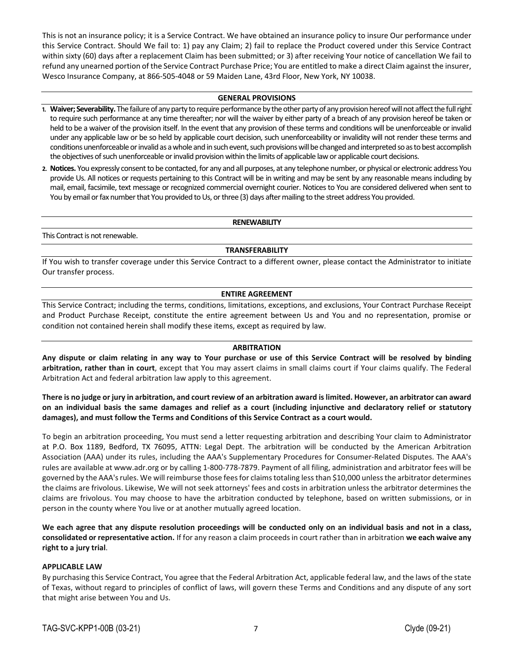This is not an insurance policy; it is a Service Contract. We have obtained an insurance policy to insure Our performance under this Service Contract. Should We fail to: 1) pay any Claim; 2) fail to replace the Product covered under this Service Contract within sixty (60) days after a replacement Claim has been submitted; or 3) after receiving Your notice of cancellation We fail to refund any unearned portion of the Service Contract Purchase Price; You are entitled to make a direct Claim against the insurer, Wesco Insurance Company, at 866‐505‐4048 or 59 Maiden Lane, 43rd Floor, New York, NY 10038.

#### **GENERAL PROVISIONS**

- 1. Waiver; Severability. The failure of any party to require performance by the other party of any provision hereof will not affect the full right to require such performance at any time thereafter; nor will the waiver by either party of a breach of any provision hereof be taken or held to be a waiver of the provision itself. In the event that any provision of these terms and conditions will be unenforceable or invalid under any applicable law or be so held by applicable court decision, such unenforceability or invalidity will not render these terms and conditions unenforceable or invalid as a whole and in such event, such provisions will be changed and interpreted so as to best accomplish the objectives of such unenforceable or invalid provision within the limits of applicable law or applicable court decisions.
- 2. Notices. You expressly consent to be contacted, for any and all purposes, at any telephone number, or physical or electronic address You provide Us. All notices or requests pertaining to this Contract will be in writing and may be sent by any reasonable means including by mail, email, facsimile, text message or recognized commercial overnight courier. Notices to You are considered delivered when sent to You by email or fax number that You provided to Us, or three (3) days after mailing to the street address You provided.

#### **RENEWABILITY**

This Contract is not renewable.

#### **TRANSFERABILITY**

If You wish to transfer coverage under this Service Contract to a different owner, please contact the Administrator to initiate Our transfer process.

#### **ENTIRE AGREEMENT**

This Service Contract; including the terms, conditions, limitations, exceptions, and exclusions, Your Contract Purchase Receipt and Product Purchase Receipt, constitute the entire agreement between Us and You and no representation, promise or condition not contained herein shall modify these items, except as required by law.

#### **ARBITRATION**

Any dispute or claim relating in any way to Your purchase or use of this Service Contract will be resolved by binding **arbitration, rather than in court**, except that You may assert claims in small claims court if Your claims qualify. The Federal Arbitration Act and federal arbitration law apply to this agreement.

## There is no judge or jury in arbitration, and court review of an arbitration award is limited. However, an arbitrator can award on an individual basis the same damages and relief as a court (including injunctive and declaratory relief or statutory **damages), and must follow the Terms and Conditions of this Service Contract as a court would.**

To begin an arbitration proceeding, You must send a letter requesting arbitration and describing Your claim to Administrator at P.O. Box 1189, Bedford, TX 76095, ATTN: Legal Dept. The arbitration will be conducted by the American Arbitration Association (AAA) under its rules, including the AAA's Supplementary Procedures for Consumer‐Related Disputes. The AAA's rules are available at www.adr.org or by calling 1‐800‐778‐7879. Payment of all filing, administration and arbitrator fees will be governed by the AAA'srules. We will reimburse those feesfor claimstotaling lessthan \$10,000 unlessthe arbitrator determines the claims are frivolous. Likewise, We will not seek attorneys' fees and costs in arbitration unless the arbitrator determines the claims are frivolous. You may choose to have the arbitration conducted by telephone, based on written submissions, or in person in the county where You live or at another mutually agreed location.

We each agree that any dispute resolution proceedings will be conducted only on an individual basis and not in a class, **consolidated or representative action.** If for any reason a claim proceedsin court rather than in arbitration **we each waive any right to a jury trial**.

## **APPLICABLE LAW**

By purchasing this Service Contract, You agree that the Federal Arbitration Act, applicable federal law, and the laws of the state of Texas, without regard to principles of conflict of laws, will govern these Terms and Conditions and any dispute of any sort that might arise between You and Us.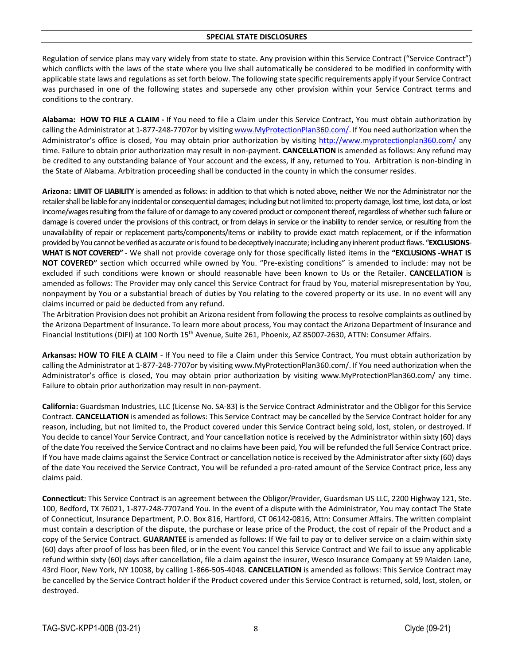#### **SPECIAL STATE DISCLOSURES**

Regulation of service plans may vary widely from state to state. Any provision within this Service Contract ("Service Contract") which conflicts with the laws of the state where you live shall automatically be considered to be modified in conformity with applicable state laws and regulations asset forth below. The following state specific requirements apply if your Service Contract was purchased in one of the following states and supersede any other provision within your Service Contract terms and conditions to the contrary.

**Alabama: HOW TO FILE A CLAIM ‐** If You need to file a Claim under this Service Contract, You must obtain authorization by calling the Administrator at 1‐877‐248‐7707or by visiting www.MyProtectionPlan360.com/. If You need authorization when the Administrator's office is closed, You may obtain prior authorization by visiting http://www.myprotectionplan360.com/ any time. Failure to obtain prior authorization may result in non‐payment. **CANCELLATION** is amended as follows: Any refund may be credited to any outstanding balance of Your account and the excess, if any, returned to You. Arbitration is non-binding in the State of Alabama. Arbitration proceeding shall be conducted in the county in which the consumer resides.

**Arizona: LIMIT OF LIABILITY** is amended as follows: in addition to that which is noted above, neither We nor the Administrator nor the retailer shall be liable for any incidental or consequential damages; including but not limited to: property damage, lost time, lost data, or lost income/wages resulting from the failure of or damage to any covered product or component thereof, regardless of whether such failure or damage is covered under the provisions of this contract, or from delays in service or the inability to render service, or resulting from the unavailability of repair or replacement parts/components/items or inability to provide exact match replacement, or if the information provided by You cannot be verified as accurate or is found to be deceptively inaccurate; including any inherent product flaws. "**EXCLUSIONS**-**WHAT IS NOT COVERED"** ‐ We shall not provide coverage only for those specifically listed items in the **"EXCLUSIONS ‐WHAT IS NOT COVERED"** section which occurred while owned by You. "Pre‐existing conditions" is amended to include: may not be excluded if such conditions were known or should reasonable have been known to Us or the Retailer. **CANCELLATION** is amended as follows: The Provider may only cancel this Service Contract for fraud by You, material misrepresentation by You, nonpayment by You or a substantial breach of duties by You relating to the covered property or its use. In no event will any claims incurred or paid be deducted from any refund.

The Arbitration Provision does not prohibit an Arizona resident from following the process to resolve complaints as outlined by the Arizona Department of Insurance. To learn more about process, You may contact the Arizona Department of Insurance and Financial Institutions (DIFI) at 100 North 15<sup>th</sup> Avenue, Suite 261, Phoenix, AZ 85007-2630, ATTN: Consumer Affairs.

**Arkansas: HOW TO FILE A CLAIM** ‐ If You need to file a Claim under this Service Contract, You must obtain authorization by calling the Administrator at 1‐877‐248‐7707or by visiting www.MyProtectionPlan360.com/. If You need authorization when the Administrator's office is closed, You may obtain prior authorization by visiting www.MyProtectionPlan360.com/ any time. Failure to obtain prior authorization may result in non‐payment.

**California:** Guardsman Industries, LLC (License No. SA‐83) is the Service Contract Administrator and the Obligor for this Service Contract. **CANCELLATION** is amended as follows: This Service Contract may be cancelled by the Service Contract holder for any reason, including, but not limited to, the Product covered under this Service Contract being sold, lost, stolen, or destroyed. If You decide to cancel Your Service Contract, and Your cancellation notice is received by the Administrator within sixty (60) days of the date You received the Service Contract and no claims have been paid, You will be refunded the full Service Contract price. If You have made claims against the Service Contract or cancellation notice isreceived by the Administrator after sixty (60) days of the date You received the Service Contract, You will be refunded a pro-rated amount of the Service Contract price, less any claims paid.

**Connecticut:** This Service Contract is an agreement between the Obligor/Provider, Guardsman US LLC, 2200 Highway 121, Ste. 100, Bedford, TX 76021, 1‐877‐248‐7707and You. In the event of a dispute with the Administrator, You may contact The State of Connecticut, Insurance Department, P.O. Box 816, Hartford, CT 06142‐0816, Attn: Consumer Affairs. The written complaint must contain a description of the dispute, the purchase or lease price of the Product, the cost of repair of the Product and a copy of the Service Contract. **GUARANTEE** is amended as follows: If We fail to pay or to deliver service on a claim within sixty (60) days after proof of loss has been filed, or in the event You cancel this Service Contract and We fail to issue any applicable refund within sixty (60) days after cancellation, file a claim against the insurer, Wesco Insurance Company at 59 Maiden Lane, 43rd Floor, New York, NY 10038, by calling 1‐866‐505‐4048. **CANCELLATION** is amended as follows: This Service Contract may be cancelled by the Service Contract holder if the Product covered under this Service Contract is returned, sold, lost, stolen, or destroyed.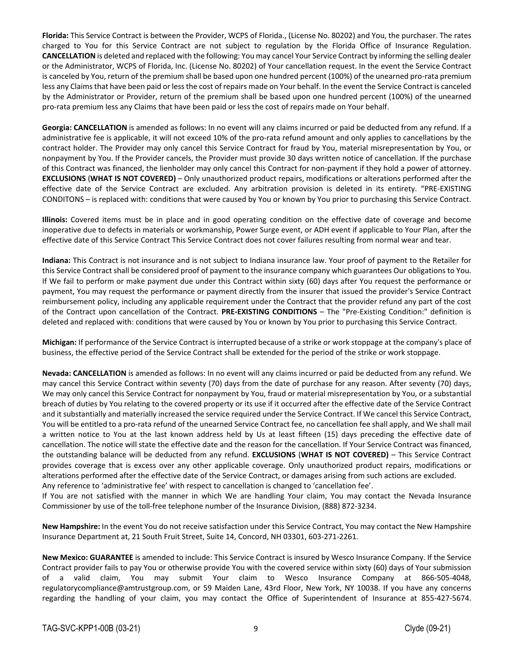**Florida:** This Service Contract is between the Provider, WCPS of Florida., (License No. 80202) and You, the purchaser. The rates charged to You for this Service Contract are not subject to regulation by the Florida Office of Insurance Regulation. **CANCELLATION** is deleted and replaced with the following: You may cancel Your Service Contract by informing the selling dealer or the Administrator, WCPS of Florida, Inc. (License No. 80202) of Your cancellation request. In the event the Service Contract is canceled by You, return of the premium shall be based upon one hundred percent (100%) of the unearned pro-rata premium less any Claimsthat have been paid or lessthe cost of repairs made on Your behalf. In the event the Service Contract is canceled by the Administrator or Provider, return of the premium shall be based upon one hundred percent (100%) of the unearned pro-rata premium less any Claims that have been paid or less the cost of repairs made on Your behalf.

**Georgia: CANCELLATION** is amended as follows: In no event will any claims incurred or paid be deducted from any refund. If a administrative fee is applicable, it will not exceed 10% of the pro-rata refund amount and only applies to cancellations by the contract holder. The Provider may only cancel this Service Contract for fraud by You, material misrepresentation by You, or nonpayment by You. If the Provider cancels, the Provider must provide 30 days written notice of cancellation. If the purchase of this Contract was financed, the lienholder may only cancel this Contract for non‐payment if they hold a power of attorney. **EXCLUSIONS** (**WHAT IS NOT COVERED)** – Only unauthorized product repairs, modifications or alterations performed after the effective date of the Service Contract are excluded. Any arbitration provision is deleted in its entirety. "PRE‐EXISTING CONDITONS – is replaced with: conditions that were caused by You or known by You prior to purchasing this Service Contract.

**Illinois:** Covered items must be in place and in good operating condition on the effective date of coverage and become inoperative due to defects in materials or workmanship, Power Surge event, or ADH event if applicable to Your Plan, after the effective date of this Service Contract This Service Contract does not cover failures resulting from normal wear and tear.

**Indiana:** This Contract is not insurance and is not subject to Indiana insurance law. Your proof of payment to the Retailer for this Service Contract shall be considered proof of payment to the insurance company which guarantees Our obligations to You. If We fail to perform or make payment due under this Contract within sixty (60) days after You request the performance or payment, You may request the performance or payment directly from the insurer that issued the provider's Service Contract reimbursement policy, including any applicable requirement under the Contract that the provider refund any part of the cost of the Contract upon cancellation of the Contract. **PRE‐EXISTING CONDITIONS** – The "Pre‐Existing Condition:" definition is deleted and replaced with: conditions that were caused by You or known by You prior to purchasing this Service Contract.

**Michigan:** If performance of the Service Contract is interrupted because of a strike or work stoppage at the company's place of business, the effective period of the Service Contract shall be extended for the period of the strike or work stoppage.

**Nevada: CANCELLATION** is amended as follows: In no event will any claims incurred or paid be deducted from any refund. We may cancel this Service Contract within seventy (70) days from the date of purchase for any reason. After seventy (70) days, We may only cancel this Service Contract for nonpayment by You, fraud or material misrepresentation by You, or a substantial breach of duties by You relating to the covered property or its use if it occurred after the effective date of the Service Contract and it substantially and materially increased the service required under the Service Contract. If We cancel this Service Contract, You will be entitled to a pro‐rata refund of the unearned Service Contract fee, no cancellation fee shall apply, and We shall mail a written notice to You at the last known address held by Us at least fifteen (15) days preceding the effective date of cancellation. The notice will state the effective date and the reason for the cancellation. If Your Service Contract was financed, the outstanding balance will be deducted from any refund. **EXCLUSIONS** (**WHAT IS NOT COVERED)** – This Service Contract provides coverage that is excess over any other applicable coverage. Only unauthorized product repairs, modifications or alterations performed after the effective date of the Service Contract, or damages arising from such actions are excluded. Any reference to 'administrative fee' with respect to cancellation is changed to 'cancellation fee'.

If You are not satisfied with the manner in which We are handling Your claim, You may contact the Nevada Insurance Commissioner by use of the toll‐free telephone number of the Insurance Division, (888) 872‐3234.

**New Hampshire:** In the event You do not receive satisfaction under this Service Contract, You may contact the New Hampshire Insurance Department at, 21 South Fruit Street, Suite 14, Concord, NH 03301, 603‐271‐2261.

**New Mexico: GUARANTEE** is amended to include: This Service Contract is insured by Wesco Insurance Company. If the Service Contract provider fails to pay You or otherwise provide You with the covered service within sixty (60) days of Your submission of a valid claim, You may submit Your claim to Wesco Insurance Company at 866‐505‐4048, regulatorycompliance@amtrustgroup.com, or 59 Maiden Lane, 43rd Floor, New York, NY 10038. If you have any concerns regarding the handling of your claim, you may contact the Office of Superintendent of Insurance at 855‐427‐5674.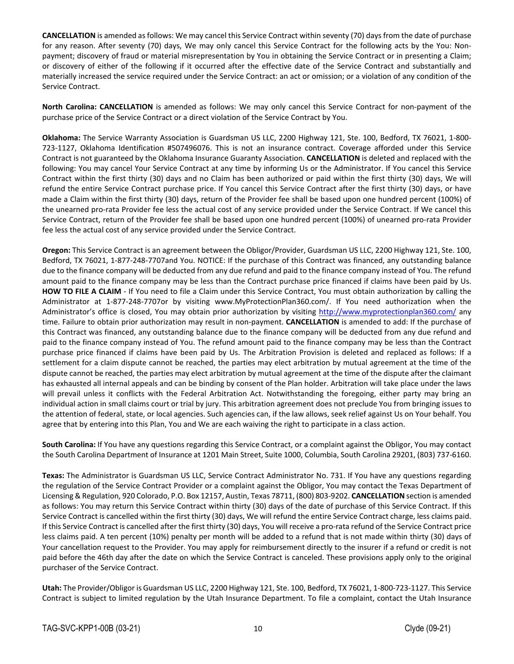**CANCELLATION** is amended as follows: We may cancel this Service Contract within seventy (70) days from the date of purchase for any reason. After seventy (70) days, We may only cancel this Service Contract for the following acts by the You: Non‐ payment; discovery of fraud or material misrepresentation by You in obtaining the Service Contract or in presenting a Claim; or discovery of either of the following if it occurred after the effective date of the Service Contract and substantially and materially increased the service required under the Service Contract: an act or omission; or a violation of any condition of the Service Contract.

**North Carolina: CANCELLATION** is amended as follows: We may only cancel this Service Contract for non‐payment of the purchase price of the Service Contract or a direct violation of the Service Contract by You.

**Oklahoma:** The Service Warranty Association is Guardsman US LLC, 2200 Highway 121, Ste. 100, Bedford, TX 76021, 1‐800‐ 723‐1127, Oklahoma Identification #507496076. This is not an insurance contract. Coverage afforded under this Service Contract is not guaranteed by the Oklahoma Insurance Guaranty Association. **CANCELLATION** is deleted and replaced with the following: You may cancel Your Service Contract at any time by informing Us or the Administrator. If You cancel this Service Contract within the first thirty (30) days and no Claim has been authorized or paid within the first thirty (30) days, We will refund the entire Service Contract purchase price. If You cancel this Service Contract after the first thirty (30) days, or have made a Claim within the first thirty (30) days, return of the Provider fee shall be based upon one hundred percent (100%) of the unearned pro‐rata Provider fee less the actual cost of any service provided under the Service Contract. If We cancel this Service Contract, return of the Provider fee shall be based upon one hundred percent (100%) of unearned pro‐rata Provider fee less the actual cost of any service provided under the Service Contract.

**Oregon:** This Service Contract is an agreement between the Obligor/Provider, Guardsman US LLC, 2200 Highway 121, Ste. 100, Bedford, TX 76021, 1‐877‐248‐7707and You. NOTICE: If the purchase of this Contract was financed, any outstanding balance due to the finance company will be deducted from any due refund and paid to the finance company instead of You. The refund amount paid to the finance company may be less than the Contract purchase price financed if claims have been paid by Us. **HOW TO FILE A CLAIM** ‐ If You need to file a Claim under this Service Contract, You must obtain authorization by calling the Administrator at 1‐877‐248‐7707or by visiting www.MyProtectionPlan360.com/. If You need authorization when the Administrator's office is closed, You may obtain prior authorization by visiting http://www.myprotectionplan360.com/ any time. Failure to obtain prior authorization may result in non‐payment. **CANCELLATION** is amended to add: If the purchase of this Contract was financed, any outstanding balance due to the finance company will be deducted from any due refund and paid to the finance company instead of You. The refund amount paid to the finance company may be less than the Contract purchase price financed if claims have been paid by Us. The Arbitration Provision is deleted and replaced as follows: If a settlement for a claim dispute cannot be reached, the parties may elect arbitration by mutual agreement at the time of the dispute cannot be reached, the parties may elect arbitration by mutual agreement at the time of the dispute after the claimant has exhausted all internal appeals and can be binding by consent of the Plan holder. Arbitration will take place under the laws will prevail unless it conflicts with the Federal Arbitration Act. Notwithstanding the foregoing, either party may bring an individual action in small claims court or trial by jury. This arbitration agreement does not preclude You from bringing issues to the attention of federal, state, or local agencies. Such agencies can, if the law allows, seek relief against Us on Your behalf. You agree that by entering into this Plan, You and We are each waiving the right to participate in a class action.

**South Carolina:** If You have any questions regarding this Service Contract, or a complaint against the Obligor, You may contact the South Carolina Department of Insurance at 1201 Main Street, Suite 1000, Columbia, South Carolina 29201, (803) 737‐6160.

**Texas:** The Administrator is Guardsman US LLC, Service Contract Administrator No. 731. If You have any questions regarding the regulation of the Service Contract Provider or a complaint against the Obligor, You may contact the Texas Department of Licensing & Regulation, 920 Colorado, P.O. Box 12157, Austin, Texas 78711, (800) 803‐9202. **CANCELLATION** section is amended as follows: You may return this Service Contract within thirty (30) days of the date of purchase of this Service Contract. If this Service Contract is cancelled within the first thirty (30) days, We will refund the entire Service Contract charge, less claims paid. If this Service Contract is cancelled after the first thirty (30) days, You will receive a pro‐rata refund of the Service Contract price less claims paid. A ten percent (10%) penalty per month will be added to a refund that is not made within thirty (30) days of Your cancellation request to the Provider. You may apply for reimbursement directly to the insurer if a refund or credit is not paid before the 46th day after the date on which the Service Contract is canceled. These provisions apply only to the original purchaser of the Service Contract.

**Utah:** The Provider/Obligor is Guardsman US LLC, 2200 Highway 121, Ste. 100, Bedford, TX 76021, 1‐800‐723‐1127. This Service Contract is subject to limited regulation by the Utah Insurance Department. To file a complaint, contact the Utah Insurance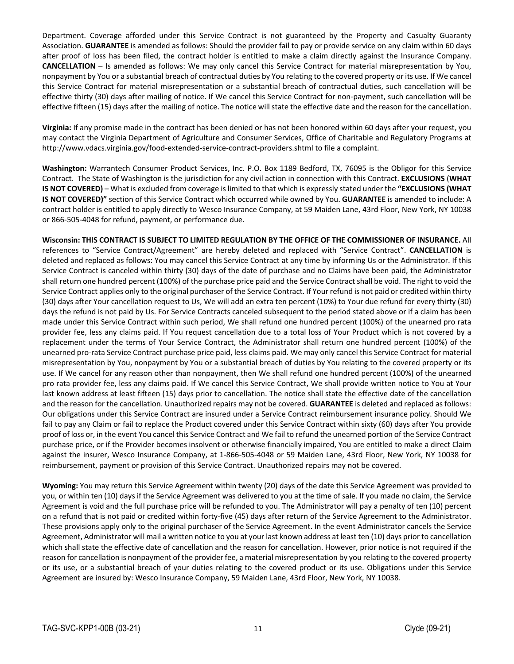Department. Coverage afforded under this Service Contract is not guaranteed by the Property and Casualty Guaranty Association. **GUARANTEE** is amended as follows: Should the provider fail to pay or provide service on any claim within 60 days after proof of loss has been filed, the contract holder is entitled to make a claim directly against the Insurance Company. **CANCELLATION** – Is amended as follows: We may only cancel this Service Contract for material misrepresentation by You, nonpayment by You or a substantial breach of contractual duties by You relating to the covered property or its use. If We cancel this Service Contract for material misrepresentation or a substantial breach of contractual duties, such cancellation will be effective thirty (30) days after mailing of notice. If We cancel this Service Contract for non-payment, such cancellation will be effective fifteen (15) days after the mailing of notice. The notice will state the effective date and the reason for the cancellation.

**Virginia:** If any promise made in the contract has been denied or has not been honored within 60 days after your request, you may contact the Virginia Department of Agriculture and Consumer Services, Office of Charitable and Regulatory Programs at http://www.vdacs.virginia.gov/food‐extended‐service‐contract‐providers.shtml to file a complaint.

**Washington:** Warrantech Consumer Product Services, Inc. P.O. Box 1189 Bedford, TX, 76095 is the Obligor for this Service Contract. The State of Washington is the jurisdiction for any civil action in connection with this Contract. **EXCLUSIONS** (**WHAT IS NOT COVERED)** – What is excluded from coverage islimited to that which is expressly stated under the **"EXCLUSIONS (WHAT IS NOT COVERED)"** section of this Service Contract which occurred while owned by You. **GUARANTEE** is amended to include: A contract holder is entitled to apply directly to Wesco Insurance Company, at 59 Maiden Lane, 43rd Floor, New York, NY 10038 or 866‐505‐4048 for refund, payment, or performance due.

**Wisconsin: THIS CONTRACT IS SUBJECT TO LIMITED REGULATION BY THE OFFICE OF THE COMMISSIONER OF INSURANCE.** All references to "Service Contract/Agreement" are hereby deleted and replaced with "Service Contract". **CANCELLATION** is deleted and replaced as follows: You may cancel this Service Contract at any time by informing Us or the Administrator. If this Service Contract is canceled within thirty (30) days of the date of purchase and no Claims have been paid, the Administrator shall return one hundred percent (100%) of the purchase price paid and the Service Contract shall be void. The right to void the Service Contract applies only to the original purchaser of the Service Contract. If Your refund is not paid or credited within thirty (30) days after Your cancellation request to Us, We will add an extra ten percent (10%) to Your due refund for every thirty (30) days the refund is not paid by Us. For Service Contracts canceled subsequent to the period stated above or if a claim has been made under this Service Contract within such period, We shall refund one hundred percent (100%) of the unearned pro rata provider fee, less any claims paid. If You request cancellation due to a total loss of Your Product which is not covered by a replacement under the terms of Your Service Contract, the Administrator shall return one hundred percent (100%) of the unearned pro‐rata Service Contract purchase price paid, less claims paid. We may only cancel this Service Contract for material misrepresentation by You, nonpayment by You or a substantial breach of duties by You relating to the covered property or its use. If We cancel for any reason other than nonpayment, then We shall refund one hundred percent (100%) of the unearned pro rata provider fee, less any claims paid. If We cancel this Service Contract, We shall provide written notice to You at Your last known address at least fifteen (15) days prior to cancellation. The notice shall state the effective date of the cancellation and the reason for the cancellation. Unauthorized repairs may not be covered. **GUARANTEE** is deleted and replaced as follows: Our obligations under this Service Contract are insured under a Service Contract reimbursement insurance policy. Should We fail to pay any Claim or fail to replace the Product covered under this Service Contract within sixty (60) days after You provide proof of loss or, in the event You cancel this Service Contract and We fail to refund the unearned portion of the Service Contract purchase price, or if the Provider becomes insolvent or otherwise financially impaired, You are entitled to make a direct Claim against the insurer, Wesco Insurance Company, at 1‐866‐505‐4048 or 59 Maiden Lane, 43rd Floor, New York, NY 10038 for reimbursement, payment or provision of this Service Contract. Unauthorized repairs may not be covered.

**Wyoming:** You may return this Service Agreement within twenty (20) days of the date this Service Agreement was provided to you, or within ten (10) days if the Service Agreement was delivered to you at the time of sale. If you made no claim, the Service Agreement is void and the full purchase price will be refunded to you. The Administrator will pay a penalty of ten (10) percent on a refund that is not paid or credited within forty-five (45) days after return of the Service Agreement to the Administrator. These provisions apply only to the original purchaser of the Service Agreement. In the event Administrator cancels the Service Agreement, Administrator will mail a written notice to you at your last known address at least ten (10) days prior to cancellation which shall state the effective date of cancellation and the reason for cancellation. However, prior notice is not required if the reason for cancellation is nonpayment of the provider fee, a material misrepresentation by you relating to the covered property or its use, or a substantial breach of your duties relating to the covered product or its use. Obligations under this Service Agreement are insured by: Wesco Insurance Company, 59 Maiden Lane, 43rd Floor, New York, NY 10038.